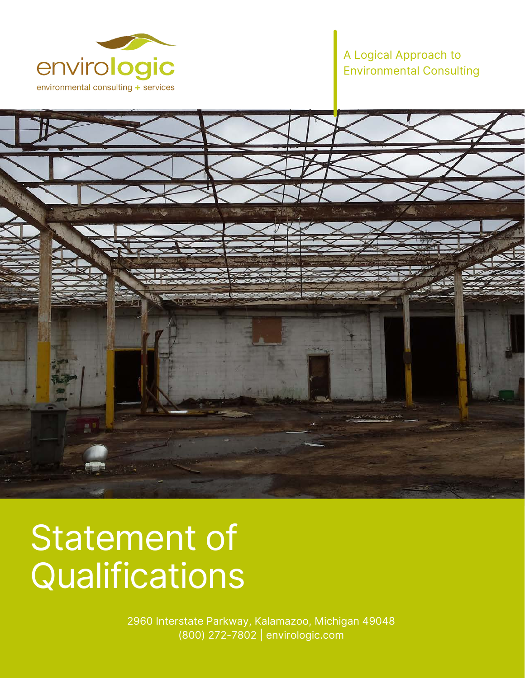

## A Logical Approach to Environmental Consulting



# Statement of **Qualifications**

2960 Interstate Parkway, Kalamazoo, Michigan 49048 (800) 272-7802 | envirologic.com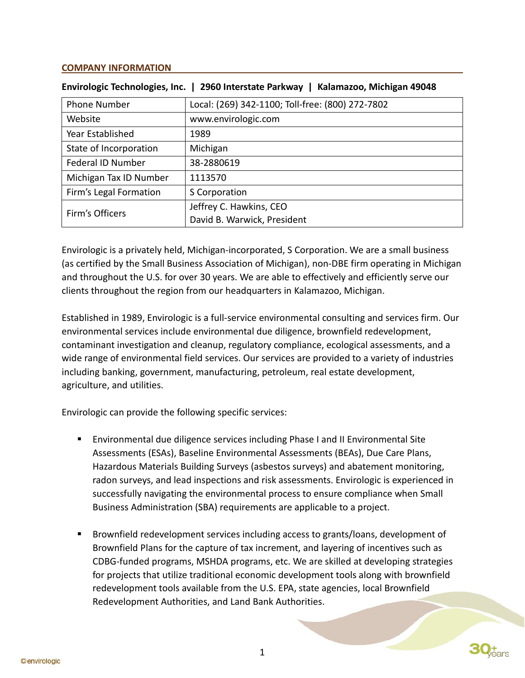#### **COMPANY INFORMATION**

| <b>Envirologic Technologies, Inc.</b> | 2960 Interstate Parkway<br>Kalamazoo, Michigan 49048 |
|---------------------------------------|------------------------------------------------------|
| <b>Phone Number</b>                   | Local: (269) 342-1100; Toll-free: (800) 272-7802     |
| Website                               | www.envirologic.com                                  |
| Year Established                      | 1989                                                 |
| State of Incorporation                | Michigan                                             |
| Federal ID Number                     | 38-2880619                                           |
| Michigan Tax ID Number                | 1113570                                              |
| Firm's Legal Formation                | S Corporation                                        |
| Firm's Officers                       | Jeffrey C. Hawkins, CEO                              |
|                                       | David B. Warwick, President                          |

**Envirologic Technologies, Inc. | 2960 Interstate Parkway | Kalamazoo, Michigan 49048**

Envirologic is a privately held, Michigan-incorporated, S Corporation. We are a small business (as certified by the Small Business Association of Michigan), non-DBE firm operating in Michigan and throughout the U.S. for over 30 years. We are able to effectively and efficiently serve our clients throughout the region from our headquarters in Kalamazoo, Michigan.

Established in 1989, Envirologic is a full-service environmental consulting and services firm. Our environmental services include environmental due diligence, brownfield redevelopment, contaminant investigation and cleanup, regulatory compliance, ecological assessments, and a wide range of environmental field services. Our services are provided to a variety of industries including banking, government, manufacturing, petroleum, real estate development, agriculture, and utilities.

Envirologic can provide the following specific services:

- Environmental due diligence services including Phase I and II Environmental Site Assessments (ESAs), Baseline Environmental Assessments (BEAs), Due Care Plans, Hazardous Materials Building Surveys (asbestos surveys) and abatement monitoring, radon surveys, and lead inspections and risk assessments. Envirologic is experienced in successfully navigating the environmental process to ensure compliance when Small Business Administration (SBA) requirements are applicable to a project.
- Brownfield redevelopment services including access to grants/loans, development of Brownfield Plans for the capture of tax increment, and layering of incentives such as CDBG-funded programs, MSHDA programs, etc. We are skilled at developing strategies for projects that utilize traditional economic development tools along with brownfield redevelopment tools available from the U.S. EPA, state agencies, local Brownfield Redevelopment Authorities, and Land Bank Authorities.

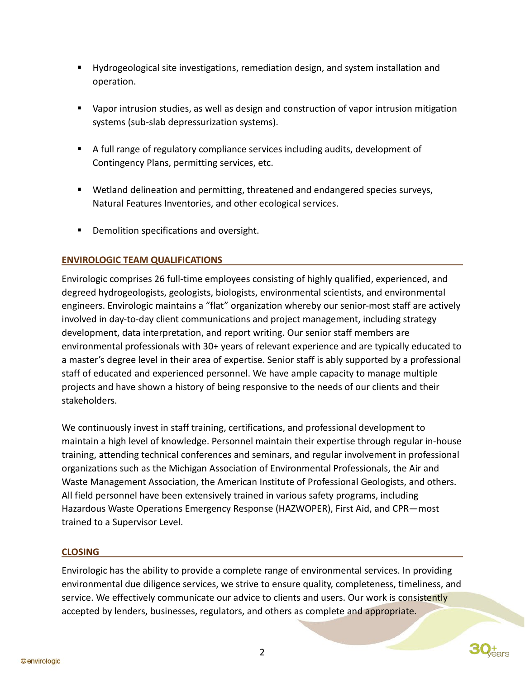- Hydrogeological site investigations, remediation design, and system installation and operation.
- Vapor intrusion studies, as well as design and construction of vapor intrusion mitigation systems (sub-slab depressurization systems).
- A full range of regulatory compliance services including audits, development of Contingency Plans, permitting services, etc.
- Wetland delineation and permitting, threatened and endangered species surveys, Natural Features Inventories, and other ecological services.
- **•** Demolition specifications and oversight.

### **ENVIROLOGIC TEAM QUALIFICATIONS**

Envirologic comprises 26 full-time employees consisting of highly qualified, experienced, and degreed hydrogeologists, geologists, biologists, environmental scientists, and environmental engineers. Envirologic maintains a "flat" organization whereby our senior-most staff are actively involved in day-to-day client communications and project management, including strategy development, data interpretation, and report writing. Our senior staff members are environmental professionals with 30+ years of relevant experience and are typically educated to a master's degree level in their area of expertise. Senior staff is ably supported by a professional staff of educated and experienced personnel. We have ample capacity to manage multiple projects and have shown a history of being responsive to the needs of our clients and their stakeholders.

We continuously invest in staff training, certifications, and professional development to maintain a high level of knowledge. Personnel maintain their expertise through regular in-house training, attending technical conferences and seminars, and regular involvement in professional organizations such as the Michigan Association of Environmental Professionals, the Air and Waste Management Association, the American Institute of Professional Geologists, and others. All field personnel have been extensively trained in various safety programs, including Hazardous Waste Operations Emergency Response (HAZWOPER), First Aid, and CPR—most trained to a Supervisor Level.

#### **CLOSING**

Envirologic has the ability to provide a complete range of environmental services. In providing environmental due diligence services, we strive to ensure quality, completeness, timeliness, and service. We effectively communicate our advice to clients and users. Our work is consistently accepted by lenders, businesses, regulators, and others as complete and appropriate.